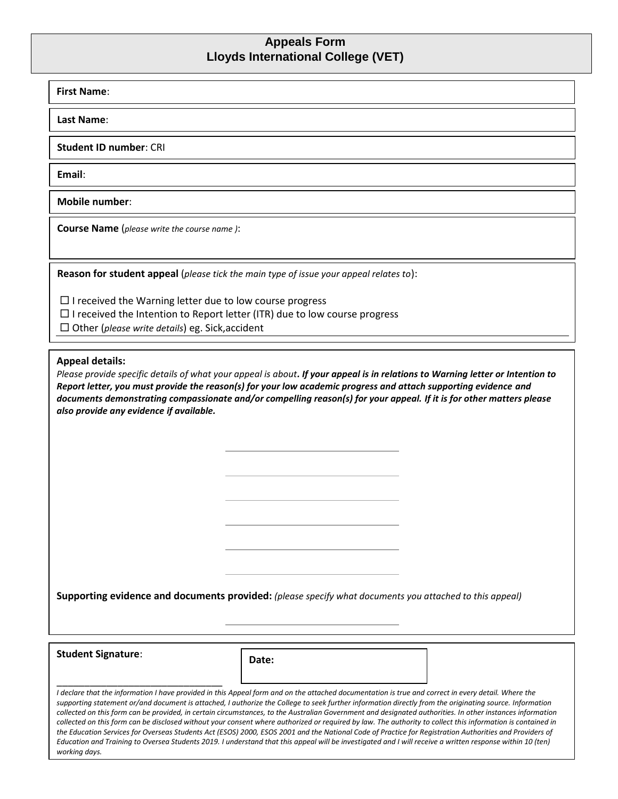## **Appeals Form Lloyds International College (VET)**

| Last Name:<br><b>Student ID number: CRI</b><br>Email:<br>Mobile number:<br><b>Course Name</b> (please write the course name):<br>Reason for student appeal (please tick the main type of issue your appeal relates to):<br>$\Box$ I received the Warning letter due to low course progress<br>$\Box$ I received the Intention to Report letter (ITR) due to low course progress<br>$\Box$ Other (please write details) eg. Sick, accident<br><b>Appeal details:</b><br>Please provide specific details of what your appeal is about. If your appeal is in relations to Warning letter or Intention to<br>Report letter, you must provide the reason(s) for your low academic progress and attach supporting evidence and<br>documents demonstrating compassionate and/or compelling reason(s) for your appeal. If it is for other matters please<br>also provide any evidence if available.<br>Supporting evidence and documents provided: (please specify what documents you attached to this appeal)<br><b>Student Signature:</b> |  |  |  |
|-------------------------------------------------------------------------------------------------------------------------------------------------------------------------------------------------------------------------------------------------------------------------------------------------------------------------------------------------------------------------------------------------------------------------------------------------------------------------------------------------------------------------------------------------------------------------------------------------------------------------------------------------------------------------------------------------------------------------------------------------------------------------------------------------------------------------------------------------------------------------------------------------------------------------------------------------------------------------------------------------------------------------------------|--|--|--|
|                                                                                                                                                                                                                                                                                                                                                                                                                                                                                                                                                                                                                                                                                                                                                                                                                                                                                                                                                                                                                                     |  |  |  |
|                                                                                                                                                                                                                                                                                                                                                                                                                                                                                                                                                                                                                                                                                                                                                                                                                                                                                                                                                                                                                                     |  |  |  |
|                                                                                                                                                                                                                                                                                                                                                                                                                                                                                                                                                                                                                                                                                                                                                                                                                                                                                                                                                                                                                                     |  |  |  |
|                                                                                                                                                                                                                                                                                                                                                                                                                                                                                                                                                                                                                                                                                                                                                                                                                                                                                                                                                                                                                                     |  |  |  |
|                                                                                                                                                                                                                                                                                                                                                                                                                                                                                                                                                                                                                                                                                                                                                                                                                                                                                                                                                                                                                                     |  |  |  |
|                                                                                                                                                                                                                                                                                                                                                                                                                                                                                                                                                                                                                                                                                                                                                                                                                                                                                                                                                                                                                                     |  |  |  |
|                                                                                                                                                                                                                                                                                                                                                                                                                                                                                                                                                                                                                                                                                                                                                                                                                                                                                                                                                                                                                                     |  |  |  |
| Date:                                                                                                                                                                                                                                                                                                                                                                                                                                                                                                                                                                                                                                                                                                                                                                                                                                                                                                                                                                                                                               |  |  |  |

Page 1 Version 1.8 updated March 2021 SSO VET *collected on this form can be provided, in certain circumstances, to the Australian Government and designated authorities. In other instances information collected on this form can be disclosed without your consent where authorized or required by law. The authority to collect this information is contained in the Education Services for Overseas Students Act (ESOS) 2000, ESOS 2001 and the National Code of Practice for Registration Authorities and Providers of Education and Training to Oversea Students 2019. I understand that this appeal will be investigated and I will receive a written response within 10 (ten) working days.*